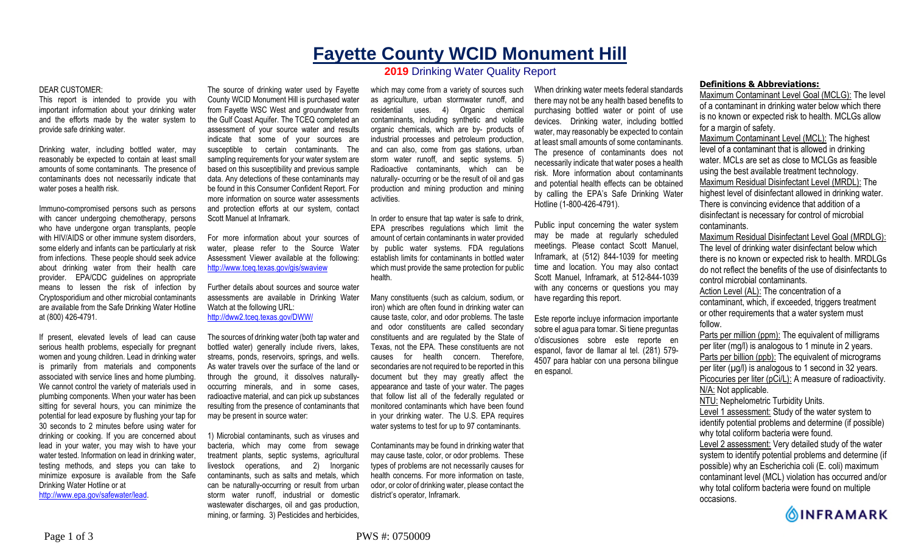## **Fayette County WCID Monument Hill 2019** Drinking Water Quality Report

## DEAR CUSTOMER:

This report is intended to provide you with important information about your drinking water and the efforts made by the water system to provide safe drinking water.

Drinking water, including bottled water, may reasonably be expected to contain at least small amounts of some contaminants. The presence of contaminants does not necessarily indicate that water poses a health risk.

Immuno-compromised persons such as persons with cancer undergoing chemotherapy, persons who have undergone organ transplants, people with HIV/AIDS or other immune system disorders, some elderly and infants can be particularly at risk from infections. These people should seek advice about drinking water from their health care provider. EPA/CDC guidelines on appropriate means to lessen the risk of infection by Cryptosporidium and other microbial contaminants are available from the Safe Drinking Water Hotline at (800) 426-4791.

If present, elevated levels of lead can cause serious health problems, especially for pregnant women and young children. Lead in drinking water is primarily from materials and components associated with service lines and home plumbing. We cannot control the variety of materials used in plumbing components. When your water has been sitting for several hours, you can minimize the potential for lead exposure by flushing your tap for 30 seconds to 2 minutes before using water for drinking or cooking. If you are concerned about lead in your water, you may wish to have your water tested. Information on lead in drinking water, testing methods, and steps you can take to minimize exposure is available from the Safe Drinking Water Hotline or at http://www.epa.gov/safewater/lead.

The source of drinking water used by Fayette County WCID Monument Hill is purchased water from Fayette WSC West and groundwater from the Gulf Coast Aquifer. The TCEQ completed an assessment of your source water and results indicate that some of your sources are susceptible to certain contaminants. The sampling requirements for your water system are based on this susceptibility and previous sample data. Any detections of these contaminants may be found in this Consumer Confident Report. For more information on source water assessments and protection efforts at our system, contact

For more information about your sources of water, please refer to the Source Water Assessment Viewer available at the following: http://www.tceq.texas.gov/gis/swaview

Scott Manuel at Inframark.

Further details about sources and source water assessments are available in Drinking Water Watch at the following URL: http://dww2.tceq.texas.gov/DWW/

The sources of drinking water (both tap water and bottled water) generally include rivers, lakes, streams, ponds, reservoirs, springs, and wells. As water travels over the surface of the land or through the ground, it dissolves naturallyoccurring minerals, and in some cases, radioactive material, and can pick up substances resulting from the presence of contaminants that may be present in source water:

1) Microbial contaminants, such as viruses and bacteria, which may come from sewage treatment plants, septic systems, agricultural livestock operations, and 2) Inorganic contaminants, such as salts and metals, which can be naturally-occurring or result from urban storm water runoff, industrial or domestic wastewater discharges, oil and gas production, mining, or farming. 3) Pesticides and herbicides,

which may come from a variety of sources such as agriculture, urban stormwater runoff, and residential uses. 4) Organic chemical contaminants, including synthetic and volatile organic chemicals, which are by- products of industrial processes and petroleum production, and can also, come from gas stations, urban storm water runoff, and septic systems. 5) Radioactive contaminants, which can be naturally- occurring or be the result of oil and gas production and mining production and mining activities.

In order to ensure that tap water is safe to drink, EPA prescribes regulations which limit the amount of certain contaminants in water provided by public water systems. FDA regulations establish limits for contaminants in bottled water which must provide the same protection for public health.

Many constituents (such as calcium, sodium, or iron) which are often found in drinking water can cause taste, color, and odor problems. The taste and odor constituents are called secondary constituents and are regulated by the State of Texas, not the EPA. These constituents are not causes for health concern. Therefore, secondaries are not required to be reported in this document but they may greatly affect the appearance and taste of your water. The pages that follow list all of the federally regulated or monitored contaminants which have been found in your drinking water. The U.S. EPA requires water systems to test for up to 97 contaminants.

Contaminants may be found in drinking water that may cause taste, color, or odor problems. These types of problems are not necessarily causes for health concerns. For more information on taste, odor, or color of drinking water, please contact the district's operator, Inframark.

When drinking water meets federal standards there may not be any health based benefits to purchasing bottled water or point of use devices. Drinking water, including bottled water, may reasonably be expected to contain at least small amounts of some contaminants. The presence of contaminants does not necessarily indicate that water poses a health risk. More information about contaminants and potential health effects can be obtained by calling the EPA's Safe Drinking Water Hotline (1-800-426-4791).

Public input concerning the water system may be made at regularly scheduled meetings. Please contact Scott Manuel, Inframark, at (512) 844-1039 for meeting time and location. You may also contact Scott Manuel, Inframark, at 512-844-1039 with any concerns or questions you may have regarding this report.

Este reporte incluye informacion importante sobre el agua para tomar. Si tiene preguntas o'discusiones sobre este reporte en espanol, favor de llamar al tel. (281) 579- 4507 para hablar con una persona bilingue en espanol.

## **Definitions & Abbreviations:**

Maximum Contaminant Level Goal (MCLG): The level of a contaminant in drinking water below which there is no known or expected risk to health. MCLGs allow for a margin of safety.

Maximum Contaminant Level (MCL): The highest level of a contaminant that is allowed in drinking water. MCLs are set as close to MCLGs as feasible using the best available treatment technology. Maximum Residual Disinfectant Level (MRDL): The highest level of disinfectant allowed in drinking water. There is convincing evidence that addition of a disinfectant is necessary for control of microbial contaminants.

Maximum Residual Disinfectant Level Goal (MRDLG): The level of drinking water disinfectant below which there is no known or expected risk to health. MRDLGs do not reflect the benefits of the use of disinfectants to control microbial contaminants.

Action Level (AL): The concentration of a contaminant, which, if exceeded, triggers treatment or other requirements that a water system must follow.

Parts per million (ppm): The equivalent of milligrams per liter (mg/l) is analogous to 1 minute in 2 years. Parts per billion (ppb): The equivalent of micrograms per liter  $(\mu g/l)$  is analogous to 1 second in 32 years. Picocuries per liter (pCi/L): A measure of radioactivity. N/A: Not applicable. NTU: Nephelometric Turbidity Units. Level 1 assessment: Study of the water system to identify potential problems and determine (if possible)

why total coliform bacteria were found. Level 2 assessment: Very detailed study of the water

system to identify potential problems and determine (if possible) why an Escherichia coli (E. coli) maximum contaminant level (MCL) violation has occurred and/or why total coliform bacteria were found on multiple occasions.

**OINFRAMARK**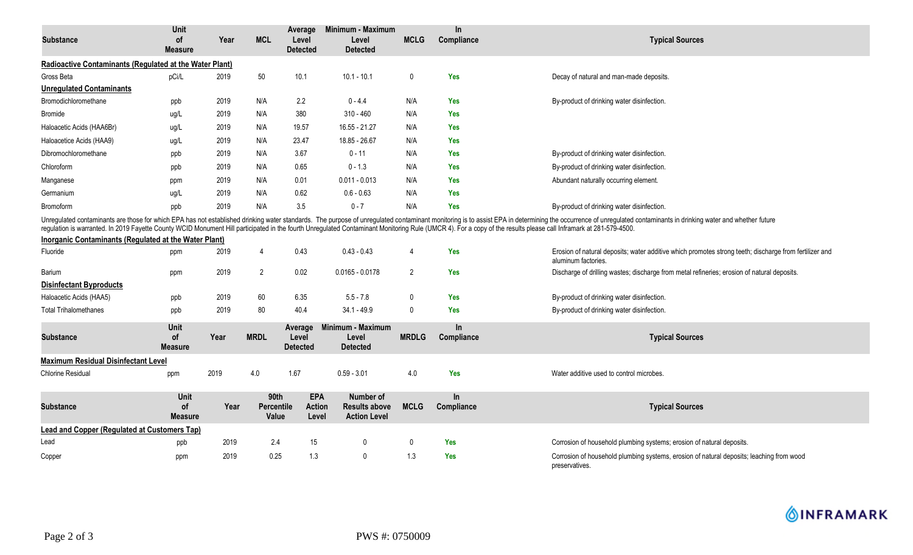| Substance                                               | Unit<br>of<br><b>Measure</b>        | Year | <b>MCL</b>                         | Average<br>Level<br><b>Detected</b>  | Minimum - Maximum<br>Level<br><b>Detected</b>            | <b>MCLG</b>  | $\ln$<br>Compliance | <b>Typical Sources</b>                                                                                                                                                                                                                                                                                                                                                                                                                             |
|---------------------------------------------------------|-------------------------------------|------|------------------------------------|--------------------------------------|----------------------------------------------------------|--------------|---------------------|----------------------------------------------------------------------------------------------------------------------------------------------------------------------------------------------------------------------------------------------------------------------------------------------------------------------------------------------------------------------------------------------------------------------------------------------------|
| Radioactive Contaminants (Regulated at the Water Plant) |                                     |      |                                    |                                      |                                                          |              |                     |                                                                                                                                                                                                                                                                                                                                                                                                                                                    |
| Gross Beta                                              | pCi/L                               | 2019 | 50                                 | 10.1                                 | $10.1 - 10.1$                                            | 0            | <b>Yes</b>          | Decay of natural and man-made deposits.                                                                                                                                                                                                                                                                                                                                                                                                            |
| <b>Unregulated Contaminants</b>                         |                                     |      |                                    |                                      |                                                          |              |                     |                                                                                                                                                                                                                                                                                                                                                                                                                                                    |
| Bromodichloromethane                                    | ppb                                 | 2019 | N/A                                | 2.2                                  | $0 - 4.4$                                                | N/A          | <b>Yes</b>          | By-product of drinking water disinfection.                                                                                                                                                                                                                                                                                                                                                                                                         |
| <b>Bromide</b>                                          | ug/L                                | 2019 | N/A                                | 380                                  | $310 - 460$                                              | N/A          | <b>Yes</b>          |                                                                                                                                                                                                                                                                                                                                                                                                                                                    |
| Haloacetic Acids (HAA6Br)                               | ug/L                                | 2019 | N/A                                | 19.57                                | 16.55 - 21.27                                            | N/A          | <b>Yes</b>          |                                                                                                                                                                                                                                                                                                                                                                                                                                                    |
| Haloacetice Acids (HAA9)                                | ug/L                                | 2019 | N/A                                | 23.47                                | 18.85 - 26.67                                            | N/A          | <b>Yes</b>          |                                                                                                                                                                                                                                                                                                                                                                                                                                                    |
| Dibromochloromethane                                    | ppb                                 | 2019 | N/A                                | 3.67                                 | $0 - 11$                                                 | N/A          | <b>Yes</b>          | By-product of drinking water disinfection.                                                                                                                                                                                                                                                                                                                                                                                                         |
| Chloroform                                              | ppb                                 | 2019 | N/A                                | 0.65                                 | $0 - 1.3$                                                | N/A          | <b>Yes</b>          | By-product of drinking water disinfection.                                                                                                                                                                                                                                                                                                                                                                                                         |
| Manganese                                               | ppm                                 | 2019 | N/A                                | 0.01                                 | $0.011 - 0.013$                                          | N/A          | <b>Yes</b>          | Abundant naturally occurring element.                                                                                                                                                                                                                                                                                                                                                                                                              |
| Germanium                                               | ug/L                                | 2019 | N/A                                | 0.62                                 | $0.6 - 0.63$                                             | N/A          | <b>Yes</b>          |                                                                                                                                                                                                                                                                                                                                                                                                                                                    |
| <b>Bromoform</b>                                        | ppb                                 | 2019 | N/A                                | 3.5                                  | $0 - 7$                                                  | N/A          | <b>Yes</b>          | By-product of drinking water disinfection.                                                                                                                                                                                                                                                                                                                                                                                                         |
| Inorganic Contaminants (Regulated at the Water Plant)   |                                     |      |                                    |                                      |                                                          |              |                     | Unregulated contaminants are those for which EPA has not established drinking water standards. The purpose of unregulated contaminant monitoring is to assist EPA in determining the occurrence of unregulated contaminants in<br>regulation is warranted. In 2019 Fayette County WCID Monument Hill participated in the fourth Unregulated Contaminant Monitoring Rule (UMCR 4). For a copy of the results please call Inframark at 281-579-4500. |
| Fluoride                                                | ppm                                 | 2019 | 4                                  | 0.43                                 | $0.43 - 0.43$                                            | 4            | <b>Yes</b>          | Erosion of natural deposits; water additive which promotes strong teeth; discharge from fertilizer and<br>aluminum factories.                                                                                                                                                                                                                                                                                                                      |
| Barium                                                  | ppm                                 | 2019 | $\overline{2}$                     | 0.02                                 | $0.0165 - 0.0178$                                        | 2            | <b>Yes</b>          | Discharge of drilling wastes; discharge from metal refineries; erosion of natural deposits.                                                                                                                                                                                                                                                                                                                                                        |
| <b>Disinfectant Byproducts</b>                          |                                     |      |                                    |                                      |                                                          |              |                     |                                                                                                                                                                                                                                                                                                                                                                                                                                                    |
| Haloacetic Acids (HAA5)                                 | ppb                                 | 2019 | 60                                 | 6.35                                 | $5.5 - 7.8$                                              | $\mathbf 0$  | <b>Yes</b>          | By-product of drinking water disinfection.                                                                                                                                                                                                                                                                                                                                                                                                         |
| <b>Total Trihalomethanes</b>                            | ppb                                 | 2019 | 80                                 | 40.4                                 | $34.1 - 49.9$                                            | $\mathbf 0$  | Yes                 | By-product of drinking water disinfection.                                                                                                                                                                                                                                                                                                                                                                                                         |
| <b>Substance</b>                                        | Unit<br>0f<br><b>Measure</b>        | Year | <b>MRDL</b>                        | Average<br>Level<br><b>Detected</b>  | Minimum - Maximum<br>Level<br><b>Detected</b>            | <b>MRDLG</b> | $\ln$<br>Compliance | <b>Typical Sources</b>                                                                                                                                                                                                                                                                                                                                                                                                                             |
| <b>Maximum Residual Disinfectant Level</b>              |                                     |      |                                    |                                      |                                                          |              |                     |                                                                                                                                                                                                                                                                                                                                                                                                                                                    |
| <b>Chlorine Residual</b>                                | ppm                                 | 2019 | 4.0                                | 1.67                                 | $0.59 - 3.01$                                            | 4.0          | Yes                 | Water additive used to control microbes.                                                                                                                                                                                                                                                                                                                                                                                                           |
| <b>Substance</b>                                        | <b>Unit</b><br>of<br><b>Measure</b> | Year | <b>90th</b><br>Percentile<br>Value | <b>EPA</b><br><b>Action</b><br>Level | Number of<br><b>Results above</b><br><b>Action Level</b> | <b>MCLG</b>  | In<br>Compliance    | <b>Typical Sources</b>                                                                                                                                                                                                                                                                                                                                                                                                                             |
| <b>Lead and Copper (Regulated at Customers Tap)</b>     |                                     |      |                                    |                                      |                                                          |              |                     |                                                                                                                                                                                                                                                                                                                                                                                                                                                    |
| Lead                                                    | ppb                                 | 2019 | 2.4                                | 15                                   | 0                                                        | 0            | <b>Yes</b>          | Corrosion of household plumbing systems; erosion of natural deposits.                                                                                                                                                                                                                                                                                                                                                                              |
| Copper                                                  | ppm                                 | 2019 | 0.25                               | 1.3                                  | $\mathbf{0}$                                             | 1.3          | <b>Yes</b>          | Corrosion of household plumbing systems, erosion of natural deposits; leaching from wood<br>preservatives.                                                                                                                                                                                                                                                                                                                                         |